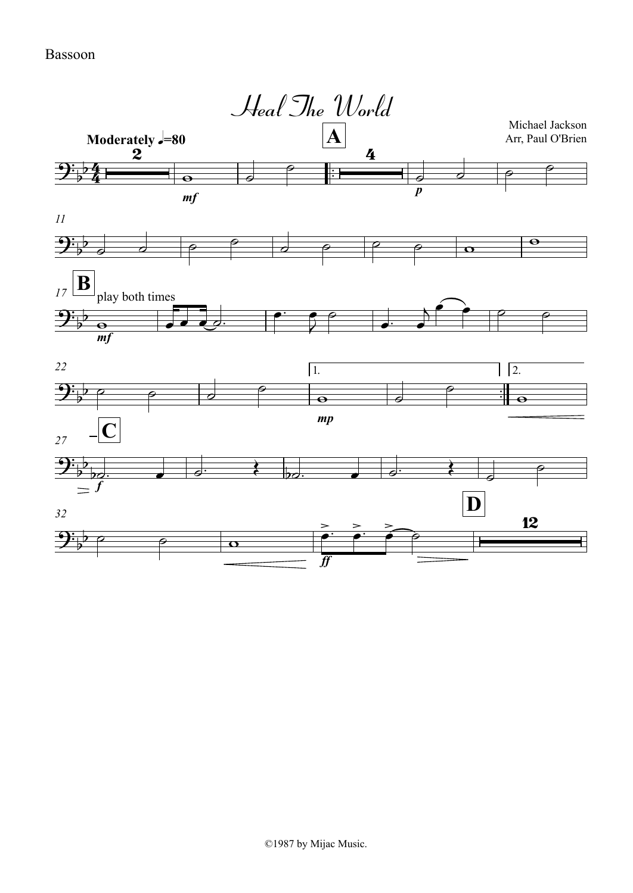## Bassoon